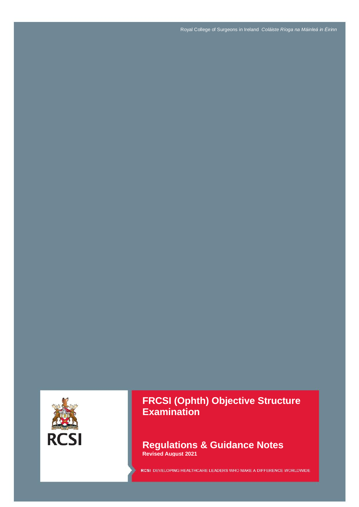Royal College of Surgeons in Ireland *Coláiste Ríoga na Máinleá in Éirinn*



**FRCSI (Ophth) Objective Structure Examination**

**Regulations & Guidance Notes Revised August 2021**

RCSI DEVELOPING HEALTHCARE LEADERS WHO MAKE A DIFFERENCE WORLDWIDE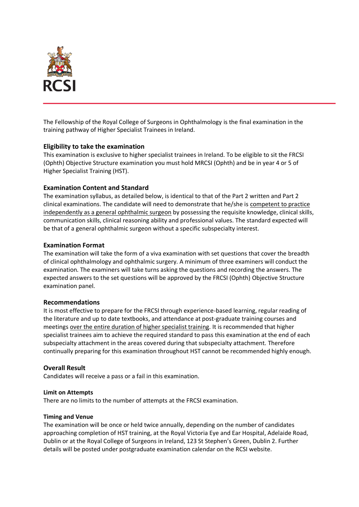

The Fellowship of the Royal College of Surgeons in Ophthalmology is the final examination in the training pathway of Higher Specialist Trainees in Ireland.

### **Eligibility to take the examination**

This examination is exclusive to higher specialist trainees in Ireland. To be eligible to sit the FRCSI (Ophth) Objective Structure examination you must hold MRCSI (Ophth) and be in year 4 or 5 of Higher Specialist Training (HST).

### **Examination Content and Standard**

The examination syllabus, as detailed below, is identical to that of the Part 2 written and Part 2 clinical examinations. The candidate will need to demonstrate that he/she is competent to practice independently as a general ophthalmic surgeon by possessing the requisite knowledge, clinical skills, communication skills, clinical reasoning ability and professional values. The standard expected will be that of a general ophthalmic surgeon without a specific subspecialty interest.

### **Examination Format**

The examination will take the form of a viva examination with set questions that cover the breadth of clinical ophthalmology and ophthalmic surgery. A minimum of three examiners will conduct the examination. The examiners will take turns asking the questions and recording the answers. The expected answers to the set questions will be approved by the FRCSI (Ophth) Objective Structure examination panel.

### **Recommendations**

It is most effective to prepare for the FRCSI through experience-based learning, regular reading of the literature and up to date textbooks, and attendance at post-graduate training courses and meetings over the entire duration of higher specialist training. It is recommended that higher specialist trainees aim to achieve the required standard to pass this examination at the end of each subspecialty attachment in the areas covered during that subspecialty attachment. Therefore continually preparing for this examination throughout HST cannot be recommended highly enough.

### **Overall Result**

Candidates will receive a pass or a fail in this examination.

### **Limit on Attempts**

There are no limits to the number of attempts at the FRCSI examination.

### **Timing and Venue**

The examination will be once or held twice annually, depending on the number of candidates approaching completion of HST training, at the Royal Victoria Eye and Ear Hospital, Adelaide Road, Dublin or at the Royal College of Surgeons in Ireland, 123 St Stephen's Green, Dublin 2. Further details will be posted under postgraduate examination calendar on the RCSI website.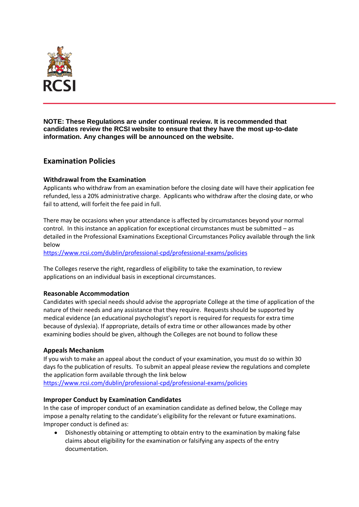

**NOTE: These Regulations are under continual review. It is recommended that candidates review the RCSI website to ensure that they have the most up-to-date information. Any changes will be announced on the website.** 

# **Examination Policies**

# **Withdrawal from the Examination**

Applicants who withdraw from an examination before the closing date will have their application fee refunded, less a 20% administrative charge. Applicants who withdraw after the closing date, or who fail to attend, will forfeit the fee paid in full.

There may be occasions when your attendance is affected by circumstances beyond your normal control. In this instance an application for exceptional circumstances must be submitted – as detailed in the Professional Examinations Exceptional Circumstances Policy available through the link below

<https://www.rcsi.com/dublin/professional-cpd/professional-exams/policies>

The Colleges reserve the right, regardless of eligibility to take the examination, to review applications on an individual basis in exceptional circumstances.

# **Reasonable Accommodation**

Candidates with special needs should advise the appropriate College at the time of application of the nature of their needs and any assistance that they require. Requests should be supported by medical evidence (an educational psychologist's report is required for requests for extra time because of dyslexia). If appropriate, details of extra time or other allowances made by other examining bodies should be given, although the Colleges are not bound to follow these

# **Appeals Mechanism**

If you wish to make an appeal about the conduct of your examination, you must do so within 30 days fo the publication of results. To submit an appeal please review the regulations and complete the application form available through the link below <https://www.rcsi.com/dublin/professional-cpd/professional-exams/policies>

### **Improper Conduct by Examination Candidates**

In the case of improper conduct of an examination candidate as defined below, the College may impose a penalty relating to the candidate's eligibility for the relevant or future examinations. Improper conduct is defined as:

 Dishonestly obtaining or attempting to obtain entry to the examination by making false claims about eligibility for the examination or falsifying any aspects of the entry documentation.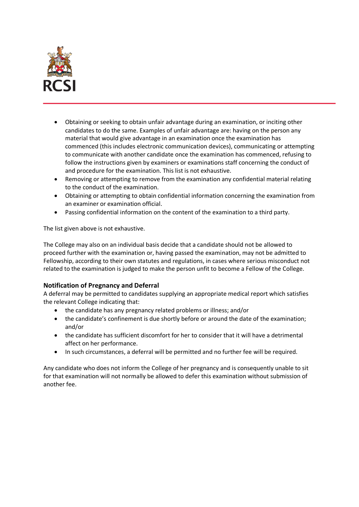

- Obtaining or seeking to obtain unfair advantage during an examination, or inciting other candidates to do the same. Examples of unfair advantage are: having on the person any material that would give advantage in an examination once the examination has commenced (this includes electronic communication devices), communicating or attempting to communicate with another candidate once the examination has commenced, refusing to follow the instructions given by examiners or examinations staff concerning the conduct of and procedure for the examination. This list is not exhaustive.
- Removing or attempting to remove from the examination any confidential material relating to the conduct of the examination.
- Obtaining or attempting to obtain confidential information concerning the examination from an examiner or examination official.
- Passing confidential information on the content of the examination to a third party.

The list given above is not exhaustive.

The College may also on an individual basis decide that a candidate should not be allowed to proceed further with the examination or, having passed the examination, may not be admitted to Fellowship, according to their own statutes and regulations, in cases where serious misconduct not related to the examination is judged to make the person unfit to become a Fellow of the College.

# **Notification of Pregnancy and Deferral**

A deferral may be permitted to candidates supplying an appropriate medical report which satisfies the relevant College indicating that:

- the candidate has any pregnancy related problems or illness; and/or
- the candidate's confinement is due shortly before or around the date of the examination; and/or
- the candidate has sufficient discomfort for her to consider that it will have a detrimental affect on her performance.
- In such circumstances, a deferral will be permitted and no further fee will be required.

Any candidate who does not inform the College of her pregnancy and is consequently unable to sit for that examination will not normally be allowed to defer this examination without submission of another fee.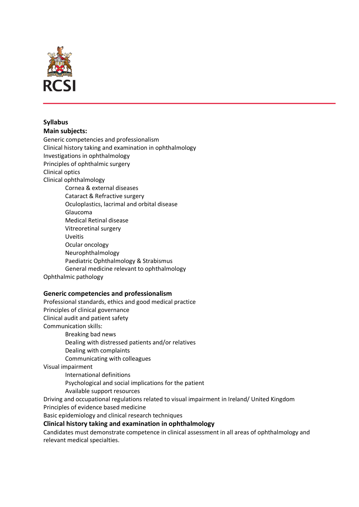

# **Syllabus**

**Main subjects:**

Generic competencies and professionalism Clinical history taking and examination in ophthalmology Investigations in ophthalmology Principles of ophthalmic surgery Clinical optics Clinical ophthalmology Cornea & external diseases Cataract & Refractive surgery Oculoplastics, lacrimal and orbital disease Glaucoma Medical Retinal disease Vitreoretinal surgery Uveitis Ocular oncology Neurophthalmology Paediatric Ophthalmology & Strabismus General medicine relevant to ophthalmology

Ophthalmic pathology

# **Generic competencies and professionalism**

Professional standards, ethics and good medical practice Principles of clinical governance Clinical audit and patient safety Communication skills: Breaking bad news Dealing with distressed patients and/or relatives Dealing with complaints Communicating with colleagues Visual impairment International definitions Psychological and social implications for the patient Available support resources Driving and occupational regulations related to visual impairment in Ireland/ United Kingdom Principles of evidence based medicine Basic epidemiology and clinical research techniques **Clinical history taking and examination in ophthalmology**

Candidates must demonstrate competence in clinical assessment in all areas of ophthalmology and relevant medical specialties.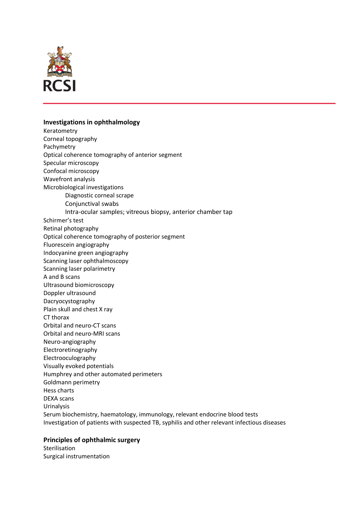

# **Investigations in ophthalmology**

Keratometry Corneal topography Pachymetry Optical coherence tomography of anterior segment Specular microscopy Confocal microscopy Wavefront analysis Microbiological investigations Diagnostic corneal scrape Conjunctival swabs Intra-ocular samples; vitreous biopsy, anterior chamber tap Schirmer's test Retinal photography Optical coherence tomography of posterior segment Fluorescein angiography Indocyanine green angiography Scanning laser ophthalmoscopy Scanning laser polarimetry A and B scans Ultrasound biomicroscopy Doppler ultrasound Dacryocystography Plain skull and chest X ray CT thorax Orbital and neuro-CT scans Orbital and neuro-MRI scans Neuro-angiography Electroretinography Electrooculography Visually evoked potentials Humphrey and other automated perimeters Goldmann perimetry Hess charts DEXA scans Urinalysis Serum biochemistry, haematology, immunology, relevant endocrine blood tests Investigation of patients with suspected TB, syphilis and other relevant infectious diseases

# **Principles of ophthalmic surgery**

Sterilisation Surgical instrumentation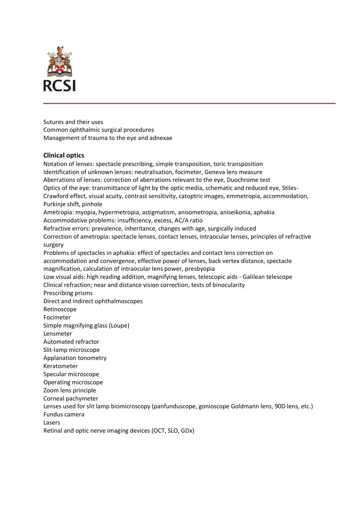

Sutures and their uses Common ophthalmic surgical procedures Management of trauma to the eye and adnexae

# **Clinical optics**

Notation of lenses: spectacle prescribing, simple transposition, toric transposition Identification of unknown lenses: neutralisation, focimeter, Geneva lens measure Aberrations of lenses: correction of aberrations relevant to the eye, Duochrome test Optics of the eye: transmittance of light by the optic media, schematic and reduced eye, Stiles-Crawford effect, visual acuity, contrast sensitivity, catoptric images, emmetropia, accommodation, Purkinje shift, pinhole Ametropia: myopia, hypermetropia, astigmatism, anisometropia, aniseikonia, aphakia Accommodative problems: insufficiency, excess, AC/A ratio Refractive errors: prevalence, inheritance, changes with age, surgically induced Correction of ametropia: spectacle lenses, contact lenses, intraocular lenses, principles of refractive surgery Problems of spectacles in aphakia: effect of spectacles and contact lens correction on accommodation and convergence, effective power of lenses, back vertex distance, spectacle magnification, calculation of intraocular lens power, presbyopia Low visual aids: high reading addition, magnifying lenses, telescopic aids - Galilean telescope Clinical refraction; near and distance vision correction, tests of binocularity Prescribing prisms Direct and indirect ophthalmoscopes Retinoscope Focimeter Simple magnifying glass (Loupe) Lensmeter Automated refractor Slit-lamp microscope Applanation tonometry Keratometer Specular microscope Operating microscope Zoom lens principle Corneal pachymeter Lenses used for slit lamp biomicroscopy (panfunduscope, gonioscope Goldmann lens, 90D lens, etc.) Fundus camera Lasers Retinal and optic nerve imaging devices (OCT, SLO, GDx)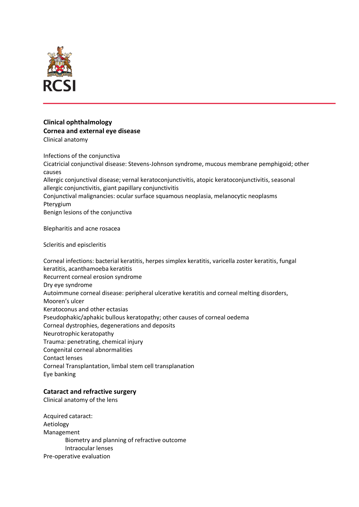

### **Clinical ophthalmology Cornea and external eye disease** Clinical anatomy

Infections of the conjunctiva Cicatricial conjunctival disease: Stevens-Johnson syndrome, mucous membrane pemphigoid; other causes Allergic conjunctival disease; vernal keratoconjunctivitis, atopic keratoconjunctivitis, seasonal allergic conjunctivitis, giant papillary conjunctivitis Conjunctival malignancies: ocular surface squamous neoplasia, melanocytic neoplasms **Ptervgium** Benign lesions of the conjunctiva

Blepharitis and acne rosacea

Scleritis and episcleritis

Corneal infections: bacterial keratitis, herpes simplex keratitis, varicella zoster keratitis, fungal keratitis, acanthamoeba keratitis Recurrent corneal erosion syndrome Dry eye syndrome Autoimmune corneal disease: peripheral ulcerative keratitis and corneal melting disorders, Mooren's ulcer Keratoconus and other ectasias Pseudophakic/aphakic bullous keratopathy; other causes of corneal oedema Corneal dystrophies, degenerations and deposits Neurotrophic keratopathy Trauma: penetrating, chemical injury Congenital corneal abnormalities Contact lenses Corneal Transplantation, limbal stem cell transplanation Eye banking

# **Cataract and refractive surgery**

Clinical anatomy of the lens

Acquired cataract: Aetiology Management Biometry and planning of refractive outcome Intraocular lenses Pre-operative evaluation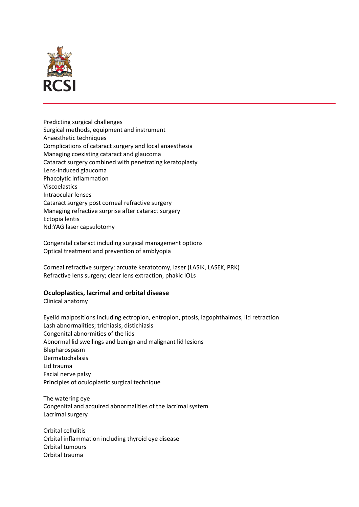

Predicting surgical challenges Surgical methods, equipment and instrument Anaesthetic techniques Complications of cataract surgery and local anaesthesia Managing coexisting cataract and glaucoma Cataract surgery combined with penetrating keratoplasty Lens-induced glaucoma Phacolytic inflammation Viscoelastics Intraocular lenses Cataract surgery post corneal refractive surgery Managing refractive surprise after cataract surgery Ectopia lentis Nd:YAG laser capsulotomy

Congenital cataract including surgical management options Optical treatment and prevention of amblyopia

Corneal refractive surgery: arcuate keratotomy, laser (LASIK, LASEK, PRK) Refractive lens surgery; clear lens extraction, phakic IOLs

# **Oculoplastics, lacrimal and orbital disease**

Clinical anatomy

Eyelid malpositions including ectropion, entropion, ptosis, lagophthalmos, lid retraction Lash abnormalities; trichiasis, distichiasis Congenital abnormities of the lids Abnormal lid swellings and benign and malignant lid lesions Blepharospasm Dermatochalasis Lid trauma Facial nerve palsy Principles of oculoplastic surgical technique

The watering eye Congenital and acquired abnormalities of the lacrimal system Lacrimal surgery

Orbital cellulitis Orbital inflammation including thyroid eye disease Orbital tumours Orbital trauma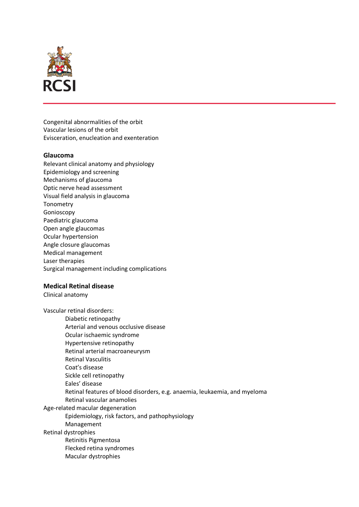

Congenital abnormalities of the orbit Vascular lesions of the orbit Evisceration, enucleation and exenteration

# **Glaucoma**

Relevant clinical anatomy and physiology Epidemiology and screening Mechanisms of glaucoma Optic nerve head assessment Visual field analysis in glaucoma **Tonometry** Gonioscopy Paediatric glaucoma Open angle glaucomas Ocular hypertension Angle closure glaucomas Medical management Laser therapies Surgical management including complications

### **Medical Retinal disease**

Clinical anatomy

Vascular retinal disorders: Diabetic retinopathy Arterial and venous occlusive disease Ocular ischaemic syndrome Hypertensive retinopathy Retinal arterial macroaneurysm Retinal Vasculitis Coat's disease Sickle cell retinopathy Eales' disease Retinal features of blood disorders, e.g. anaemia, leukaemia, and myeloma Retinal vascular anamolies Age-related macular degeneration Epidemiology, risk factors, and pathophysiology Management Retinal dystrophies Retinitis Pigmentosa Flecked retina syndromes Macular dystrophies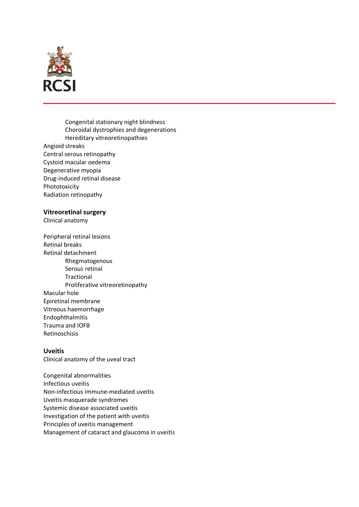

Congenital stationary night blindness Choroidal dystrophies and degenerations Hereditary vitreoretinopathies Angioid streaks Central serous retinopathy Cystoid macular oedema Degenerative myopia Drug-induced retinal disease Phototoxicity Radiation retinopathy

### **Vitreoretinal surgery**

Clinical anatomy

Peripheral retinal lesions Retinal breaks Retinal detachment Rhegmatogenous Serous retinal **Tractional** Proliferative vitreoretinopathy Macular hole Epiretinal membrane Vitreous haemorrhage Endophthalmitis Trauma and IOFB Retinoschisis

### **Uveitis**

Clinical anatomy of the uveal tract

Congenital abnormalities Infectious uveitis Non-infectious immune-mediated uveitis Uveitis masquerade syndromes Systemic disease associated uveitis Investigation of the patient with uveitis Principles of uveitis management Management of cataract and glaucoma in uveitis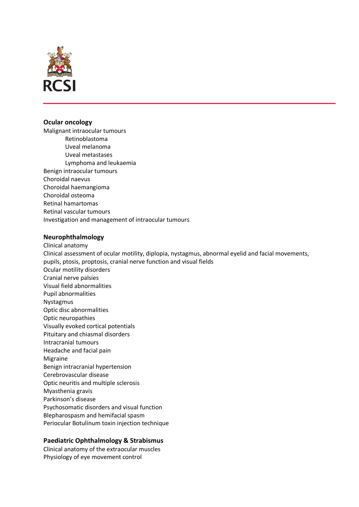

### **Ocular oncology**

Malignant intraocular tumours Retinoblastoma Uveal melanoma Uveal metastases Lymphoma and leukaemia Benign intraocular tumours Choroidal naevus Choroidal haemangioma Choroidal osteoma Retinal hamartomas Retinal vascular tumours Investigation and management of intraocular tumours

### **Neurophthalmology**

Clinical anatomy Clinical assessment of ocular motility, diplopia, nystagmus, abnormal eyelid and facial movements, pupils, ptosis, proptosis, cranial nerve function and visual fields Ocular motility disorders Cranial nerve palsies Visual field abnormalities Pupil abnormalities Nystagmus Optic disc abnormalities Optic neuropathies Visually evoked cortical potentials Pituitary and chiasmal disorders Intracranial tumours Headache and facial pain Migraine Benign intracranial hypertension Cerebrovascular disease Optic neuritis and multiple sclerosis Myasthenia gravis Parkinson's disease Psychosomatic disorders and visual function Blepharospasm and hemifacial spasm Periocular Botulinum toxin injection technique

# **Paediatric Ophthalmology & Strabismus**

Clinical anatomy of the extraocular muscles Physiology of eye movement control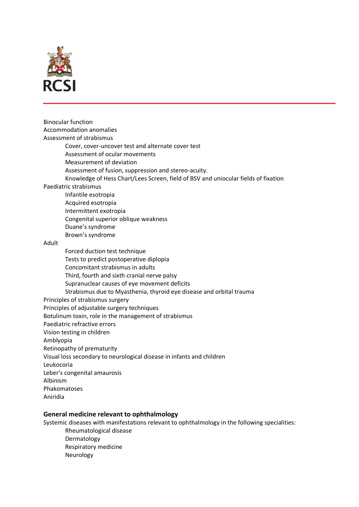

Binocular function Accommodation anomalies Assessment of strabismus Cover, cover-uncover test and alternate cover test Assessment of ocular movements Measurement of deviation Assessment of fusion, suppression and stereo-acuity. Knowledge of Hess Chart/Lees Screen, field of BSV and uniocular fields of fixation Paediatric strabismus Infantile esotropia Acquired esotropia Intermittent exotropia Congenital superior oblique weakness Duane's syndrome Brown's syndrome Adult Forced duction test technique Tests to predict postoperative diplopia Concomitant strabismus in adults Third, fourth and sixth cranial nerve palsy Supranuclear causes of eye movement deficits Strabismus due to Myasthenia, thyroid eye disease and orbital trauma Principles of strabismus surgery Principles of adjustable surgery techniques Botulinum toxin, role in the management of strabismus Paediatric refractive errors Vision testing in children Amblyopia Retinopathy of prematurity Visual loss secondary to neurological disease in infants and children Leukocoria Leber's congenital amaurosis Albinism Phakomatoses Aniridia

# **General medicine relevant to ophthalmology**

Systemic diseases with manifestations relevant to ophthalmology in the following specialities:

Rheumatological disease Dermatology Respiratory medicine Neurology